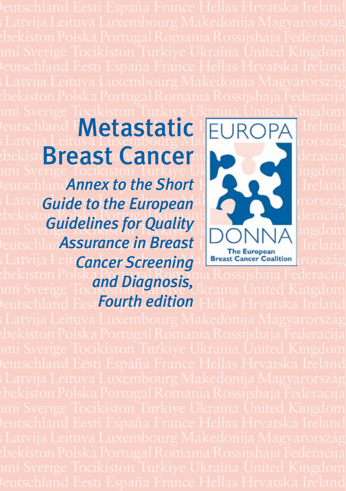## omi Sverige Tocikiston Turkiye Ukraïna United Kingdom Peutschland Metastatic EUROPA Ireland Is Latvija Leituva Luxembourg Mal**etonica Kyproszág** krország Malta Monaco Nederland Norge Österreich O'zbekist Breast Cancer Sakartige Tocikiston Turkiye Ukraïna Sverige Tocikiston Turkiye Ukraïna Ukraïna United Kingdom

**Peutschland Annex to the Short Holder Republica Indiana** *Latvi* Guide to the European all Company Lutemas Luxembourg Makedonics Makedonics Makedonics Makedonics Makedonics Makedonics Makedonics Makedonics Makedonics Makedonics Makedonics Makedonics Makedonics Makedonics Maked the kiston Polska Monaco Nederland Norge Österreich O'zbekiston Polska Polska Polska Polska Polska Rossi **Suisse Guidelines for Quality Indian Stracha** Ucracija *PeutschlanAssurance in Breast Norwegian Eireland* **Latvija Leit Cancer Screening a Breast Cancer Coalition Luty Szág** tbekiston Polska Portugal Romania Rossijshaja Federacija omi Sverige Tocikiston, Purkiye Ukraïna United Kingdom *and Diagnosis,* 



*Fourth Beland EestFourth edition Hellas Hrvatska Ireland*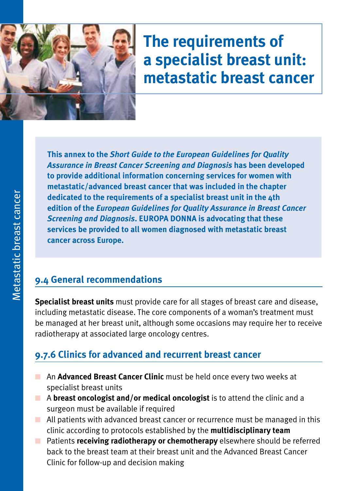

# **The requirements of a specialist breast unit: metastatic breast cancer**

**This annex to the** *Short Guide to the European Guidelines for Quality Assurance in Breast Cancer Screening and Diagnosis* **has been developed to provide additional information concerning services for women with metastatic/advanced breast cancer that was included in the chapter dedicated to the requirements of a specialist breast unit in the 4th edition of the** *European Guidelines for Quality Assurance in Breast Cancer Screening and Diagnosis***. EUROPA DONNA is advocating that these services be provided to all women diagnosed with metastatic breast cancer across Europe.**

#### **9.4 General recommendations**

**Specialist breast units** must provide care for all stages of breast care and disease, including metastatic disease. The core components of a woman's treatment must be managed at her breast unit, although some occasions may require her to receive radiotherapy at associated large oncology centres.

### **9.7.6 Clinics for advanced and recurrent breast cancer**

- An **Advanced Breast Cancer Clinic** must be held once every two weeks at specialist breast units
- **n** A **breast oncologist and/or medical oncologist** is to attend the clinic and a surgeon must be available if required
- $\blacksquare$  All patients with advanced breast cancer or recurrence must be managed in this clinic according to protocols established by the **multidisciplinary team**
- **n** Patients **receiving radiotherapy or chemotherapy** elsewhere should be referred back to the breast team at their breast unit and the Advanced Breast Cancer Clinic for follow-up and decision making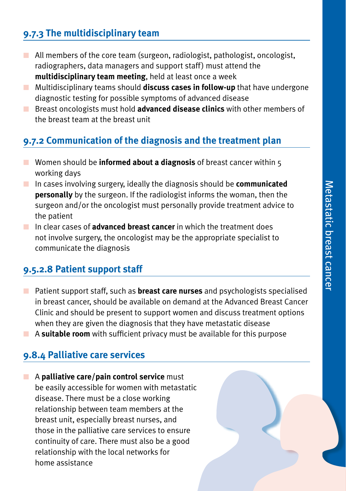#### **9.7.3 The multidisciplinary team**

- $\blacksquare$  All members of the core team (surgeon, radiologist, pathologist, oncologist, radiographers, data managers and support staff) must attend the **multidisciplinary team meeting**, held at least once a week
- **n** Multidisciplinary teams should **discuss cases in follow-up** that have undergone diagnostic testing for possible symptoms of advanced disease
- **n** Breast oncologists must hold **advanced disease clinics** with other members of the breast team at the breast unit

#### **9.7.2 Communication of the diagnosis and the treatment plan**

- **n** Women should be **informed about a diagnosis** of breast cancer within 5 working days
- **n** In cases involving surgery, ideally the diagnosis should be **communicated personally** by the surgeon. If the radiologist informs the woman, then the surgeon and/or the oncologist must personally provide treatment advice to the patient
- **n** In clear cases of **advanced breast cancer** in which the treatment does not involve surgery, the oncologist may be the appropriate specialist to communicate the diagnosis

#### **9.5.2.8 Patient support staff**

- n Patient support staff, such as **breast care nurses** and psychologists specialised in breast cancer, should be available on demand at the Advanced Breast Cancer Clinic and should be present to support women and discuss treatment options when they are given the diagnosis that they have metastatic disease
- A **suitable room** with sufficient privacy must be available for this purpose

#### **9.8.4 Palliative care services**

**n** A **palliative care/pain control service** must be easily accessible for women with metastatic disease. There must be a close working relationship between team members at the breast unit, especially breast nurses, and those in the palliative care services to ensure continuity of care. There must also be a good relationship with the local networks for home assistance